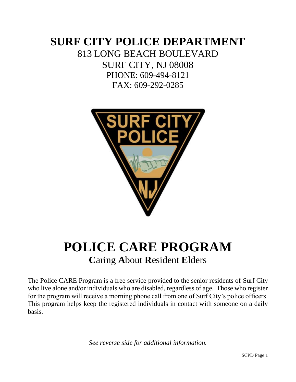## **SURF CITY POLICE DEPARTMENT** 813 LONG BEACH BOULEVARD SURF CITY, NJ 08008 PHONE: 609-494-8121 FAX: 609-292-0285



# **POLICE CARE PROGRAM C**aring **A**bout **R**esident **E**lders

The Police CARE Program is a free service provided to the senior residents of Surf City who live alone and/or individuals who are disabled, regardless of age. Those who register for the program will receive a morning phone call from one of Surf City's police officers. This program helps keep the registered individuals in contact with someone on a daily basis.

*See reverse side for additional information.*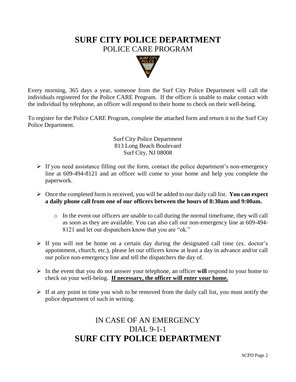#### **SURF CITY POLICE DEPARTMENT** POLICE CARE PROGRAM



Every morning, 365 days a year, someone from the Surf City Police Department will call the individuals registered for the Police CARE Program. If the officer is unable to make contact with the individual by telephone, an officer will respond to their home to check on their well-being.

To register for the Police CARE Program, complete the attached form and return it to the Surf City Police Department.

> Surf City Police Department 813 Long Beach Boulevard Surf City, NJ 08008

- $\triangleright$  If you need assistance filling out the form, contact the police department's non-emergency line at 609-494-8121 and an officer will come to your home and help you complete the paperwork.
- Once the completed form is received, you will be added to our daily call list. **You can expect a daily phone call from one of our officers between the hours of 8:30am and 9:00am.** 
	- o In the event our officers are unable to call during the normal timeframe, they will call as soon as they are available. You can also call our non-emergency line at 609-494- 8121 and let our dispatchers know that you are "ok."
- $\triangleright$  If you will not be home on a certain day during the designated call time (ex. doctor's appointment, church, etc.), please let our officers know at least a day in advance and/or call our police non-emergency line and tell the dispatchers the day of.
- In the event that you do not answer your telephone, an officer **will** respond to your home to check on your well-being. **If necessary, the officer will enter your home.**
- $\triangleright$  If at any point in time you wish to be removed from the daily call list, you must notify the police department of such in writing.

### IN CASE OF AN EMERGENCY DIAL 9-1-1 **SURF CITY POLICE DEPARTMENT**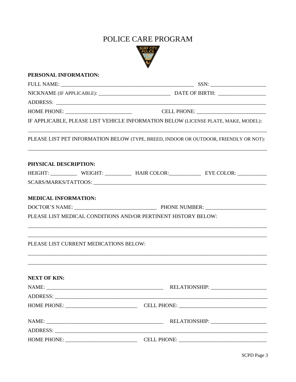### POLICE CARE PROGRAM



| PERSONAL INFORMATION:                                                                                                                                           |                                                                                      |  |  |
|-----------------------------------------------------------------------------------------------------------------------------------------------------------------|--------------------------------------------------------------------------------------|--|--|
|                                                                                                                                                                 |                                                                                      |  |  |
|                                                                                                                                                                 |                                                                                      |  |  |
|                                                                                                                                                                 |                                                                                      |  |  |
|                                                                                                                                                                 |                                                                                      |  |  |
|                                                                                                                                                                 | IF APPLICABLE, PLEASE LIST VEHICLE INFORMATION BELOW (LICENSE PLATE, MAKE, MODEL):   |  |  |
|                                                                                                                                                                 | PLEASE LIST PET INFORMATION BELOW (TYPE, BREED, INDOOR OR OUTDOOR, FRIENDLY OR NOT): |  |  |
| PHYSICAL DESCRIPTION:                                                                                                                                           |                                                                                      |  |  |
|                                                                                                                                                                 | HEIGHT: WEIGHT: WEIGHT: HAIR COLOR: EYE COLOR: __________________________________    |  |  |
|                                                                                                                                                                 |                                                                                      |  |  |
| <b>MEDICAL INFORMATION:</b>                                                                                                                                     |                                                                                      |  |  |
|                                                                                                                                                                 |                                                                                      |  |  |
|                                                                                                                                                                 | PLEASE LIST MEDICAL CONDITIONS AND/OR PERTINENT HISTORY BELOW:                       |  |  |
| <u> 1989 - Johann Barn, mars ann an t-Amhain ann an t-Amhain ann an t-Amhain an t-Amhain an t-Amhain an t-Amhain </u><br>PLEASE LIST CURRENT MEDICATIONS BELOW: |                                                                                      |  |  |
| <b>NEXT OF KIN:</b>                                                                                                                                             |                                                                                      |  |  |
|                                                                                                                                                                 |                                                                                      |  |  |
|                                                                                                                                                                 |                                                                                      |  |  |
|                                                                                                                                                                 |                                                                                      |  |  |
|                                                                                                                                                                 |                                                                                      |  |  |
|                                                                                                                                                                 |                                                                                      |  |  |
|                                                                                                                                                                 |                                                                                      |  |  |